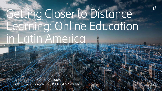# Getting Closer to Distance Learning: Online Education in Latin America

Jacqueline Lopes Head of Government and Industry Relations LATAM South<sup>1</sup>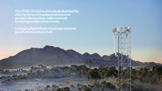**The COVID-19 crisis has dramatically illustrated the vital importance of broadband networks and services in driving robust, resilient and wellfunctioning societies and economies.** 

**Leveraging digital infrastructure to spur economic growth and recovery is a must.**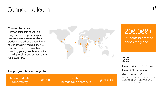### Connect to learn

#### **Connect to Learn**

Ericsson's flagship education program. For ten years, its purpose has been to empower teachers, students and schools through ICT solutions to deliver a quality 21st century education, as well as providing young people worldwide with digital skills and prepare them for a 5G future.



#### 200,000+ Students benefitted

across the globe

### 25

Countries with active Connect to Learn deployments\*

\* Bhutan, Brazil, Burkina Faso, Cape Verde, Chile, China, Djibouti, Ethiopia, Ghana, India, Iraq, Italy, Kenya, Malawi, Mexico, Myanmar, Rwanda, Senegal, South Africa, South Sudan, Sri Lanka, Tanzania, Tunisia, Uganda, USA

#### **The program has four objectives**

Access to digital <br>
Girls in ICT Education in<br>
humanitarian contexts Digital skills<br>
Digital skills connectivity Girls in ICT Education in humanitarian contexts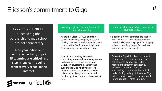## Ericsson's commitment to Giga

Ericsson and UNICEF launched a global partnership to map school internet connectivity

**Three-year initiative to identify connectivity gaps in 35 countries as a critical first step in long-term goal to connect every school to the internet**



Develop a global platform for school connectivity mapping

- As the first Global UNICEF partner for school connectivity mapping, Ericsson is making a multi-million-dollar commitment to support the first fundamental pillar of Giga, mapping connectivity in schools.
- In addition to funding, Ericsson is committing resources for data engineering and data science capacity to support UNICEF in developing a solution that supports the Giga initiative across its different phases through the collection, validation, analysis, visualization and monitoring of real-time school connectivity data.

Mapping school connectivity in up to 35 countries by 2023

• Ericsson is further committing to support UNICEF and ITU with the acquisition of data from key telecom players for mapping school connectivity in specific prioritized countries of the Giga initiative.

Before the Giga initiative can connect schools, it needs to understand where the connectivity gaps are (Pillar 1). Mapping the internet connectivity landscape for schools and their surrounding communities is a critical underpinning activity of the entire Giga initiative as it serves as a foundational information layer for the project.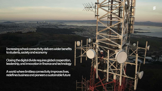**Increasing school connectivity delivers wider benefits to students, society and economy**

**Closing the digital divide requires global cooperation, leadership, and innovation in finance and technology**

**Aworld where limitless connectivity improves lives, redefines business and pioneers a sustainable future**